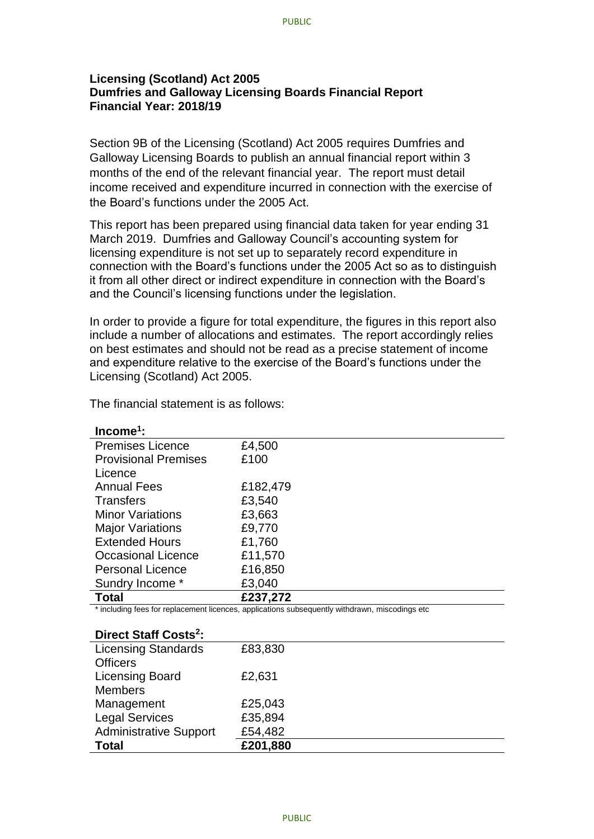## **Licensing (Scotland) Act 2005 Dumfries and Galloway Licensing Boards Financial Report Financial Year: 2018/19**

Section 9B of the Licensing (Scotland) Act 2005 requires Dumfries and Galloway Licensing Boards to publish an annual financial report within 3 months of the end of the relevant financial year. The report must detail income received and expenditure incurred in connection with the exercise of the Board's functions under the 2005 Act.

This report has been prepared using financial data taken for year ending 31 March 2019. Dumfries and Galloway Council's accounting system for licensing expenditure is not set up to separately record expenditure in connection with the Board's functions under the 2005 Act so as to distinguish it from all other direct or indirect expenditure in connection with the Board's and the Council's licensing functions under the legislation.

In order to provide a figure for total expenditure, the figures in this report also include a number of allocations and estimates. The report accordingly relies on best estimates and should not be read as a precise statement of income and expenditure relative to the exercise of the Board's functions under the Licensing (Scotland) Act 2005.

| $Income1$ :                 |          |
|-----------------------------|----------|
| <b>Premises Licence</b>     | £4,500   |
| <b>Provisional Premises</b> | £100     |
| Licence                     |          |
| <b>Annual Fees</b>          | £182,479 |
| <b>Transfers</b>            | £3,540   |
| <b>Minor Variations</b>     | £3,663   |
| <b>Major Variations</b>     | £9,770   |
| <b>Extended Hours</b>       | £1,760   |
| <b>Occasional Licence</b>   | £11,570  |
| <b>Personal Licence</b>     | £16,850  |
| Sundry Income *             | £3,040   |
| <b>Total</b>                | £237,272 |

The financial statement is as follows:

\* including fees for replacement licences, applications subsequently withdrawn, miscodings etc

## **Direct Staff Costs<sup>2</sup> :**

| PHECL OLAH OOSLS.             |          |
|-------------------------------|----------|
| <b>Licensing Standards</b>    | £83,830  |
| <b>Officers</b>               |          |
| <b>Licensing Board</b>        | £2,631   |
| <b>Members</b>                |          |
| Management                    | £25,043  |
| <b>Legal Services</b>         | £35,894  |
| <b>Administrative Support</b> | £54,482  |
| <b>Total</b>                  | £201,880 |